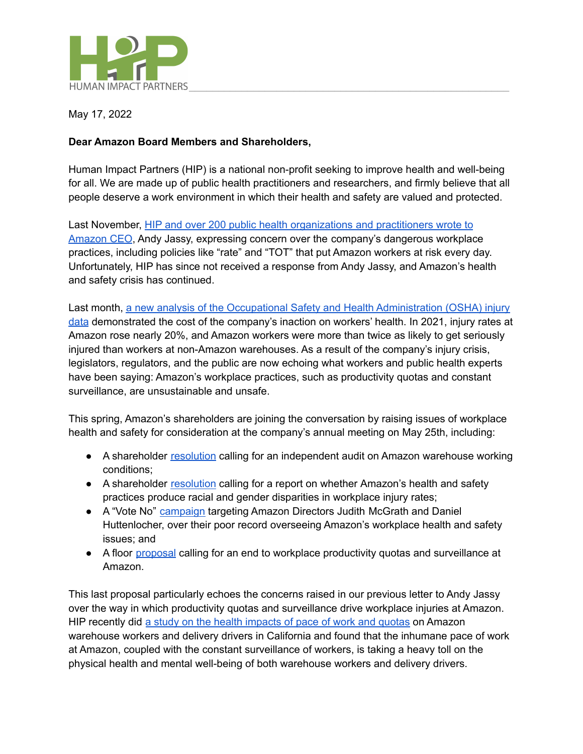

May 17, 2022

## **Dear Amazon Board Members and Shareholders,**

Human Impact Partners (HIP) is a national non-profit seeking to improve health and well-being for all. We are made up of public health practitioners and researchers, and firmly believe that all people deserve a work environment in which their health and safety are valued and protected.

Last November, HIP and over 200 public health [organizations](https://humanimpact.org/wp-content/uploads/2021/11/Public-Health-Letter-to-Amazon-11-17-21.pdf) and practitioners wrote to [Amazon](https://humanimpact.org/wp-content/uploads/2021/11/Public-Health-Letter-to-Amazon-11-17-21.pdf) CEO, Andy Jassy, expressing concern over the company's dangerous workplace practices, including policies like "rate" and "TOT" that put Amazon workers at risk every day. Unfortunately, HIP has since not received a response from Andy Jassy, and Amazon's health and safety crisis has continued.

Last month, a new analysis of the Occupational Safety and Health [Administration](https://thesoc.org/wp-content/uploads/2022/04/The-Injury-Machine_How-Amazons-Production-System-Hurts-Workers.pdf) (OSHA) injury [data](https://thesoc.org/wp-content/uploads/2022/04/The-Injury-Machine_How-Amazons-Production-System-Hurts-Workers.pdf) demonstrated the cost of the company's inaction on workers' health. In 2021, injury rates at Amazon rose nearly 20%, and Amazon workers were more than twice as likely to get seriously injured than workers at non-Amazon warehouses. As a result of the company's injury crisis, legislators, regulators, and the public are now echoing what workers and public health experts have been saying: Amazon's workplace practices, such as productivity quotas and constant surveillance, are unsustainable and unsafe.

This spring, Amazon's shareholders are joining the conversation by raising issues of workplace health and safety for consideration at the company's annual meeting on May 25th, including:

- A shareholder [resolution](https://www.ezodproxy.com/amazon/2022/proxy/HTML1/amazon_proxy2022_0074.htm?rtn8#2) calling for an independent audit on Amazon warehouse working conditions;
- A shareholder [resolution](https://www.ezodproxy.com/amazon/2022/proxy/HTML1/amazon_proxy2022_0053.htm) calling for a report on whether Amazon's health and safety practices produce racial and gender disparities in workplace injury rates;
- A "Vote No" [campaign](https://comptroller.nyc.gov/deliver-accountability/) targeting Amazon Directors Judith McGrath and Daniel Huttenlocher, over their poor record overseeing Amazon's workplace health and safety issues; and
- A floor [proposal](http://united4respect.org/wp-content/uploads/2022/04/Daniel-Olayiwola-Resolution.pdf) calling for an end to workplace productivity quotas and surveillance at Amazon.

This last proposal particularly echoes the concerns raised in our previous letter to Andy Jassy over the way in which productivity quotas and surveillance drive workplace injuries at Amazon. HIP recently did a study on the health [impacts](https://humanimpact.org/hipprojects/amazon/) of pace of work and quotas on Amazon warehouse workers and delivery drivers in California and found that the inhumane pace of work at Amazon, coupled with the constant surveillance of workers, is taking a heavy toll on the physical health and mental well-being of both warehouse workers and delivery drivers.